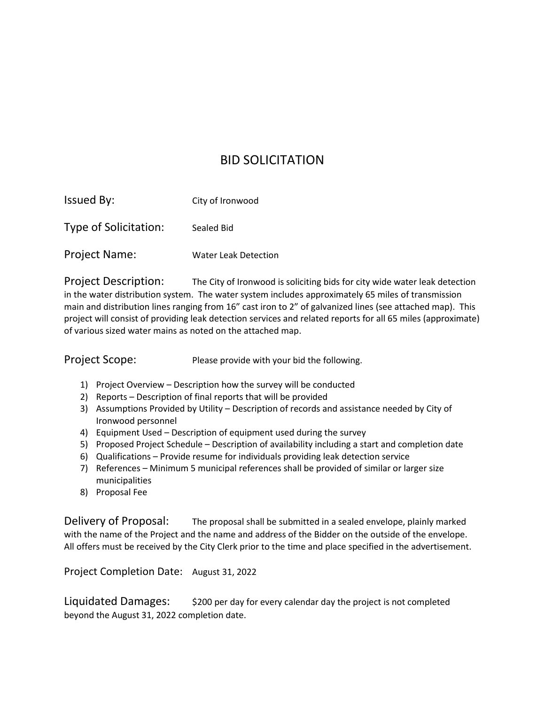## BID SOLICITATION

| <b>Issued By:</b>     | City of Ironwood            |
|-----------------------|-----------------------------|
| Type of Solicitation: | Sealed Bid                  |
| <b>Project Name:</b>  | <b>Water Leak Detection</b> |

Project Description: The City of Ironwood is soliciting bids for city wide water leak detection in the water distribution system. The water system includes approximately 65 miles of transmission main and distribution lines ranging from 16" cast iron to 2" of galvanized lines (see attached map). This project will consist of providing leak detection services and related reports for all 65 miles (approximate) of various sized water mains as noted on the attached map.

Project Scope: Please provide with your bid the following.

- 1) Project Overview Description how the survey will be conducted
- 2) Reports Description of final reports that will be provided
- 3) Assumptions Provided by Utility Description of records and assistance needed by City of Ironwood personnel
- 4) Equipment Used Description of equipment used during the survey
- 5) Proposed Project Schedule Description of availability including a start and completion date
- 6) Qualifications Provide resume for individuals providing leak detection service
- 7) References Minimum 5 municipal references shall be provided of similar or larger size municipalities
- 8) Proposal Fee

Delivery of Proposal: The proposal shall be submitted in a sealed envelope, plainly marked with the name of the Project and the name and address of the Bidder on the outside of the envelope. All offers must be received by the City Clerk prior to the time and place specified in the advertisement.

Project Completion Date: August 31, 2022

Liquidated Damages:  $\frac{1}{200}$  per day for every calendar day the project is not completed beyond the August 31, 2022 completion date.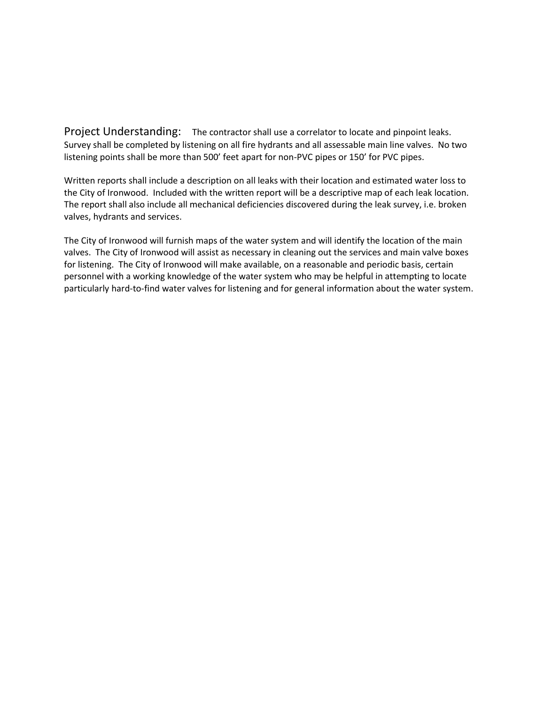Project Understanding: The contractor shall use a correlator to locate and pinpoint leaks. Survey shall be completed by listening on all fire hydrants and all assessable main line valves. No two listening points shall be more than 500' feet apart for non-PVC pipes or 150' for PVC pipes.

Written reports shall include a description on all leaks with their location and estimated water loss to the City of Ironwood. Included with the written report will be a descriptive map of each leak location. The report shall also include all mechanical deficiencies discovered during the leak survey, i.e. broken valves, hydrants and services.

The City of Ironwood will furnish maps of the water system and will identify the location of the main valves. The City of Ironwood will assist as necessary in cleaning out the services and main valve boxes for listening. The City of Ironwood will make available, on a reasonable and periodic basis, certain personnel with a working knowledge of the water system who may be helpful in attempting to locate particularly hard-to-find water valves for listening and for general information about the water system.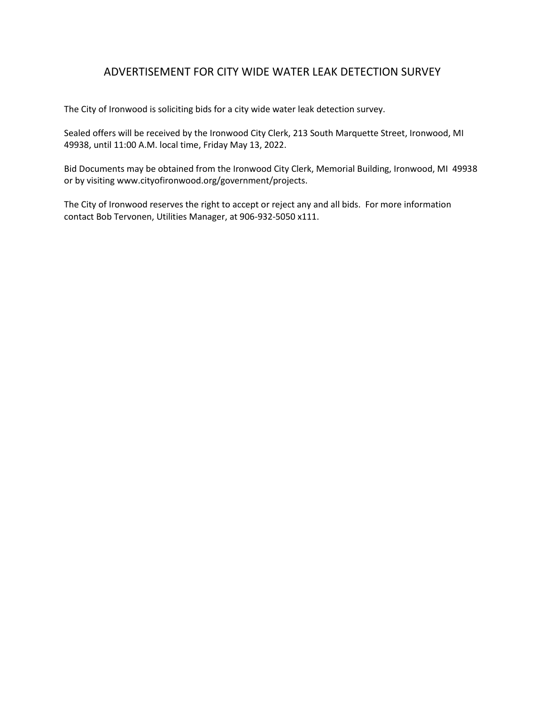## ADVERTISEMENT FOR CITY WIDE WATER LEAK DETECTION SURVEY

The City of Ironwood is soliciting bids for a city wide water leak detection survey.

Sealed offers will be received by the Ironwood City Clerk, 213 South Marquette Street, Ironwood, MI 49938, until 11:00 A.M. local time, Friday May 13, 2022.

Bid Documents may be obtained from the Ironwood City Clerk, Memorial Building, Ironwood, MI 49938 or by visiting www.cityofironwood.org/government/projects.

The City of Ironwood reserves the right to accept or reject any and all bids. For more information contact Bob Tervonen, Utilities Manager, at 906-932-5050 x111.